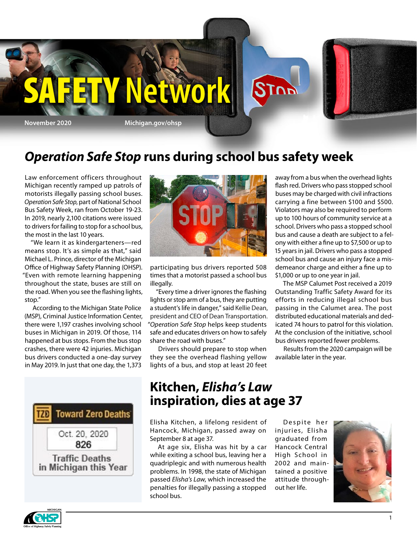

## *Operation Safe Stop* **runs during school bus safety week**

Law enforcement officers throughout Michigan recently ramped up patrols of motorists illegally passing school buses. *Operation Safe Stop*, part of National School Bus Safety Week, ran from October 19-23. In 2019, nearly 2,100 citations were issued to drivers for failing to stop for a school bus, the most in the last 10 years.

"We learn it as kindergarteners—red means stop. It's as simple as that," said Michael L. Prince, director of the Michigan Office of Highway Safety Planning (OHSP). "Even with remote learning happening throughout the state, buses are still on the road. When you see the flashing lights, stop."

According to the Michigan State Police (MSP), Criminal Justice Information Center, there were 1,197 crashes involving school buses in Michigan in 2019. Of those, 114 happened at bus stops. From the bus stop crashes, there were 42 injuries. Michigan bus drivers conducted a one-day survey in May 2019. In just that one day, the 1,373





participating bus drivers reported 508 times that a motorist passed a school bus illegally.

"Every time a driver ignores the flashing lights or stop arm of a bus, they are putting a student's life in danger," said Kellie Dean, president and CEO of Dean Transportation. "*Operation Safe Stop* helps keep students safe and educates drivers on how to safely share the road with buses."

Drivers should prepare to stop when they see the overhead flashing yellow lights of a bus, and stop at least 20 feet away from a bus when the overhead lights flash red. Drivers who pass stopped school buses may be charged with civil infractions carrying a fine between \$100 and \$500. Violators may also be required to perform up to 100 hours of community service at a school. Drivers who pass a stopped school bus and cause a death are subject to a felony with either a fine up to \$7,500 or up to 15 years in jail. Drivers who pass a stopped school bus and cause an injury face a misdemeanor charge and either a fine up to \$1,000 or up to one year in jail.

The MSP Calumet Post received a 2019 Outstanding Traffic Safety Award for its efforts in reducing illegal school bus passing in the Calumet area. The post distributed educational materials and dedicated 74 hours to patrol for this violation. At the conclusion of the initiative, school bus drivers reported fewer problems.

Results from the 2020 campaign will be available later in the year.

### **Kitchen,** *Elisha's Law* **inspiration, dies at age 37**

Elisha Kitchen, a lifelong resident of Hancock, Michigan, passed away on September 8 at age 37.

At age six, Elisha was hit by a car while exiting a school bus, leaving her a quadriplegic and with numerous health problems. In 1998, the state of Michigan passed *Elisha's Law*, which increased the penalties for illegally passing a stopped school bus.

Despite her injuries, Elisha graduated from Hancock Central High School in 2002 and maintained a positive attitude throughout her life.



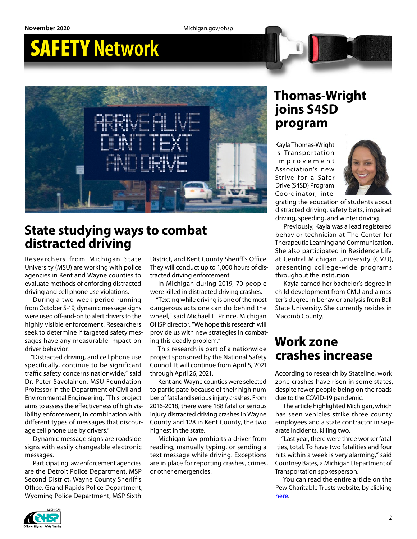# SAFETY **Network**



### **State studying ways to combat distracted driving**

Researchers from Michigan State University (MSU) are working with police agencies in Kent and Wayne counties to evaluate methods of enforcing distracted driving and cell phone use violations.

During a two-week period running from October 5-19, dynamic message signs were used off-and-on to alert drivers to the highly visible enforcement. Researchers seek to determine if targeted safety messages have any measurable impact on driver behavior.

"Distracted driving, and cell phone use specifically, continue to be significant traffic safety concerns nationwide," said Dr. Peter Savolainen, MSU Foundation Professor in the Department of Civil and Environmental Engineering. "This project aims to assess the effectiveness of high visibility enforcement, in combination with different types of messages that discourage cell phone use by drivers."

Dynamic message signs are roadside signs with easily changeable electronic messages.

Participating law enforcement agencies are the Detroit Police Department, MSP Second District, Wayne County Sheriff's Office, Grand Rapids Police Department, Wyoming Police Department, MSP Sixth

District, and Kent County Sheriff's Office. They will conduct up to 1,000 hours of distracted driving enforcement.

In Michigan during 2019, 70 people were killed in distracted driving crashes.

"Texting while driving is one of the most dangerous acts one can do behind the wheel," said Michael L. Prince, Michigan OHSP director. "We hope this research will provide us with new strategies in combating this deadly problem."

This research is part of a nationwide project sponsored by the National Safety Council. It will continue from April 5, 2021 through April 26, 2021.

Kent and Wayne counties were selected to participate because of their high number of fatal and serious injury crashes. From 2016-2018, there were 188 fatal or serious injury distracted driving crashes in Wayne County and 128 in Kent County, the two highest in the state.

Michigan law prohibits a driver from reading, manually typing, or sending a text message while driving. Exceptions are in place for reporting crashes, crimes, or other emergencies.

### **Thomas-Wright joins S4SD program**

Kayla Thomas-Wright is Transportation I m p r o v e m e n t Association's new Strive for a Safer Drive (S4SD) Program Coordinator, inte-



grating the education of students about distracted driving, safety belts, impaired driving, speeding, and winter driving.

Previously, Kayla was a lead registered behavior technician at The Center for Therapeutic Learning and Communication. She also participated in Residence Life at Central Michigan University (CMU), presenting college-wide programs throughout the institution.

Kayla earned her bachelor's degree in child development from CMU and a master's degree in behavior analysis from Ball State University. She currently resides in Macomb County.

### **Work zone crashes increase**

According to research by Stateline, work zone crashes have risen in some states, despite fewer people being on the roads due to the COVID-19 pandemic.

The article highlighted Michigan, which has seen vehicles strike three county employees and a state contractor in separate incidents, killing two.

"Last year, there were three worker fatalities, total. To have two fatalities and four hits within a week is very alarming," said Courtney Bates, a Michigan Department of Transportation spokesperson.

You can read the entire article on the Pew Charitable Trusts website, by clicking [here](https://www.pewtrusts.org/en/research-and-analysis/blogs/stateline/2020/10/06/work-zone-crashes-climb-during-pandemic-even-as-traffic-ebbs).

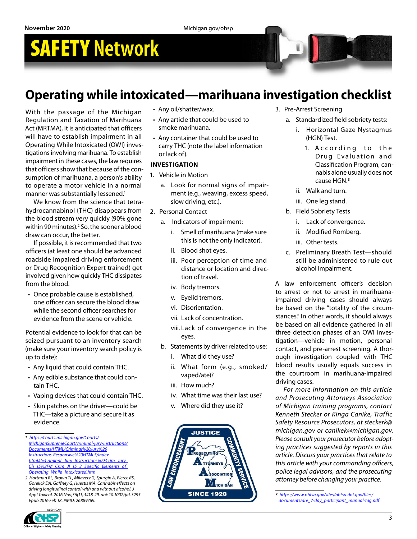# SAFETY **Network**

## **Operating while intoxicated—marihuana investigation checklist**

With the passage of the Michigan Regulation and Taxation of Marihuana Act (MRTMA), it is anticipated that officers will have to establish impairment in all Operating While Intoxicated (OWI) investigations involving marihuana. To establish impairment in these cases, the law requires that officers show that because of the consumption of marihuana, a person's ability to operate a motor vehicle in a normal manner was substantially lessened.<sup>1</sup>

We know from the science that tetrahydrocannabinol (THC) disappears from the blood stream very quickly (90% gone within 90 minutes).<sup>2</sup> So, the sooner a blood draw can occur, the better.

If possible, it is recommended that two officers (at least one should be advanced roadside impaired driving enforcement or Drug Recognition Expert trained) get involved given how quickly THC dissipates from the blood.

• Once probable cause is established, one officer can secure the blood draw while the second officer searches for evidence from the scene or vehicle.

Potential evidence to look for that can be seized pursuant to an inventory search (make sure your inventory search policy is up to date):

- Any liquid that could contain THC.
- Any edible substance that could contain THC.
- Vaping devices that could contain THC.
- Skin patches on the driver—could be THC—take a picture and secure it as evidence.

- Any oil/shatter/wax.
- Any article that could be used to smoke marihuana.
- Any container that could be used to carry THC (note the label information or lack of).

### **INVESTIGATION**

- 1. Vehicle in Motion
	- a. Look for normal signs of impairment (e.g., weaving, excess speed, slow driving, etc.).
- 2. Personal Contact
	- a. Indicators of impairment:
		- i. Smell of marihuana (make sure this is not the only indicator).
		- ii. Blood shot eyes.
		- iii. Poor perception of time and distance or location and direction of travel.
		- iv. Body tremors.
		- v. Eyelid tremors.
		- vi. Disorientation.
		- vii. Lack of concentration.
		- viii. Lack of convergence in the eyes.
	- b. Statements by driver related to use:
		- i. What did they use?
		- ii. What form (e.g., smoked/ vaped/ate)?
		- iii. How much?
		- iv. What time was their last use?
		- v. Where did they use it?



- 3. Pre-Arrest Screening
	- a. Standardized field sobriety tests:
		- i. Horizontal Gaze Nystagmus (HGN) Test.
			- 1. A c cording to the Drug Evaluation and Classification Program, cannabis alone usually does not cause HGN.**<sup>3</sup>**
		- ii. Walk and turn.
		- iii. One leg stand.
	- b. Field Sobriety Tests
		- i. Lack of convergence.
		- ii. Modified Romberg.
		- iii. Other tests.
	- c. Preliminary Breath Test—should still be administered to rule out alcohol impairment.

A law enforcement officer's decision to arrest or not to arrest in marihuanaimpaired driving cases should always be based on the "totality of the circumstances." In other words, it should always be based on all evidence gathered in all three detection phases of an OWI investigation—vehicle in motion, personal contact, and pre-arrest screening. A thorough investigation coupled with THC blood results usually equals success in the courtroom in marihuana-impaired driving cases.

*For more information on this article and Prosecuting Attorneys Association of Michigan training programs, contact Kenneth Stecker or Kinga Canike, Traffic Safety Resource Prosecutors, at steckerk@ michigan.gov or canikek@michigan.gov. Please consult your prosecutor before adopting practices suggested by reports in this article. Discuss your practices that relate to this article with your commanding officers, police legal advisors, and the prosecuting attorney before changing your practice.*

*<sup>1</sup> [https://courts.michigan.gov/Courts/](https://courts.michigan.gov/Courts/MichiganSupremeCourt/criminal-jury-instructions/Documents/HTML/Criminal%20Jury%20Instructions-Responsive%20HTML5/index.html#t=Criminal_Jury_Instructions%2FCrim_Jury_Ch_15%2FM_Crim_JI_15_3_Specific_Elements_of_Operating_W) [MichiganSupremeCourt/criminal-jury-instructions/](https://courts.michigan.gov/Courts/MichiganSupremeCourt/criminal-jury-instructions/Documents/HTML/Criminal%20Jury%20Instructions-Responsive%20HTML5/index.html#t=Criminal_Jury_Instructions%2FCrim_Jury_Ch_15%2FM_Crim_JI_15_3_Specific_Elements_of_Operating_W) [Documents/HTML/Criminal%20Jury%20](https://courts.michigan.gov/Courts/MichiganSupremeCourt/criminal-jury-instructions/Documents/HTML/Criminal%20Jury%20Instructions-Responsive%20HTML5/index.html#t=Criminal_Jury_Instructions%2FCrim_Jury_Ch_15%2FM_Crim_JI_15_3_Specific_Elements_of_Operating_W) [Instructions-Responsive%20HTML5/index.](https://courts.michigan.gov/Courts/MichiganSupremeCourt/criminal-jury-instructions/Documents/HTML/Criminal%20Jury%20Instructions-Responsive%20HTML5/index.html#t=Criminal_Jury_Instructions%2FCrim_Jury_Ch_15%2FM_Crim_JI_15_3_Specific_Elements_of_Operating_W) [html#t=Criminal\\_Jury\\_Instructions%2FCrim\\_Jury\\_](https://courts.michigan.gov/Courts/MichiganSupremeCourt/criminal-jury-instructions/Documents/HTML/Criminal%20Jury%20Instructions-Responsive%20HTML5/index.html#t=Criminal_Jury_Instructions%2FCrim_Jury_Ch_15%2FM_Crim_JI_15_3_Specific_Elements_of_Operating_W) [Ch\\_15%2FM\\_Crim\\_JI\\_15\\_3\\_Specific\\_Elements\\_of\\_](https://courts.michigan.gov/Courts/MichiganSupremeCourt/criminal-jury-instructions/Documents/HTML/Criminal%20Jury%20Instructions-Responsive%20HTML5/index.html#t=Criminal_Jury_Instructions%2FCrim_Jury_Ch_15%2FM_Crim_JI_15_3_Specific_Elements_of_Operating_W) [Operating\\_While\\_Intoxicated.htm](https://courts.michigan.gov/Courts/MichiganSupremeCourt/criminal-jury-instructions/Documents/HTML/Criminal%20Jury%20Instructions-Responsive%20HTML5/index.html#t=Criminal_Jury_Instructions%2FCrim_Jury_Ch_15%2FM_Crim_JI_15_3_Specific_Elements_of_Operating_W)*

*<sup>2</sup> Hartman RL, Brown TL, Milavetz G, Spurgin A, Pierce RS, Gorelick DA, Gaffney G, Huestis MA. Cannabis effects on driving longitudinal control with and without alcohol. J Appl Toxicol. 2016 Nov;36(11):1418-29. doi: 10.1002/jat.3295. Epub 2016 Feb 18. PMID: 26889769.*

*<sup>3</sup> [https://www.nhtsa.gov/sites/nhtsa.dot.gov/files/](https://www.nhtsa.gov/sites/nhtsa.dot.gov/files/documents/dre_7-day_participant_manual-tag.pdf) [documents/dre\\_7-day\\_participant\\_manual-tag.pdf](https://www.nhtsa.gov/sites/nhtsa.dot.gov/files/documents/dre_7-day_participant_manual-tag.pdf)*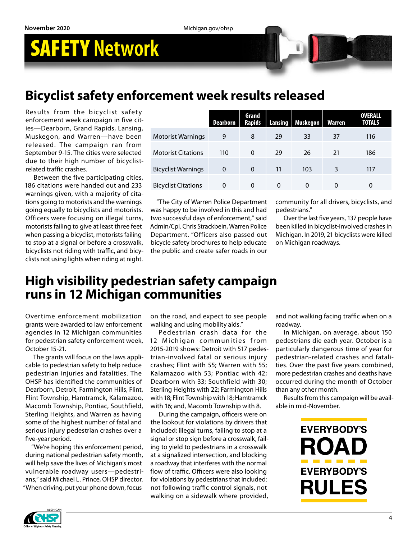# SAFETY **Network**

## **Bicyclist safety enforcement week results released**

Results from the bicyclist safety enforcement week campaign in five cities—Dearborn, Grand Rapids, Lansing, Muskegon, and Warren—have been released. The campaign ran from September 9-15. The cities were selected due to their high number of bicyclistrelated traffic crashes.

Between the five participating cities, 186 citations were handed out and 233 warnings given, with a majority of citations going to motorists and the warnings going equally to bicyclists and motorists. Officers were focusing on illegal turns, motorists failing to give at least three feet when passing a bicyclist, motorists failing to stop at a signal or before a crosswalk, bicyclists not riding with traffic, and bicyclists not using lights when riding at night.

|                            | <b>Dearborn</b> | Grand<br><b>Rapids</b> | Lansing  | Muskegon | Warren   | <b>OVERALL</b><br><b>TOTALS</b> |
|----------------------------|-----------------|------------------------|----------|----------|----------|---------------------------------|
| <b>Motorist Warnings</b>   | 9               | 8                      | 29       | 33       | 37       | 116                             |
| <b>Motorist Citations</b>  | 110             | $\Omega$               | 29       | 26       | 21       | 186                             |
| <b>Bicyclist Warnings</b>  | 0               | $\Omega$               | 11       | 103      | 3        | 117                             |
| <b>Bicyclist Citations</b> | 0               | 0                      | $\Omega$ | 0        | $\Omega$ | 0                               |

"The City of Warren Police Department was happy to be involved in this and had two successful days of enforcement," said Admin/Cpl. Chris Strackbein, Warren Police Department. "Officers also passed out bicycle safety brochures to help educate the public and create safer roads in our community for all drivers, bicyclists, and pedestrians."

Over the last five years, 137 people have been killed in bicyclist-involved crashes in Michigan. In 2019, 21 bicyclists were killed on Michigan roadways.

### **High visibility pedestrian safety campaign runs in 12 Michigan communities**

Overtime enforcement mobilization grants were awarded to law enforcement agencies in 12 Michigan communities for pedestrian safety enforcement week, October 15-21.

The grants will focus on the laws applicable to pedestrian safety to help reduce pedestrian injuries and fatalities. The OHSP has identified the communities of Dearborn, Detroit, Farmington Hills, Flint, Flint Township, Hamtramck, Kalamazoo, Macomb Township, Pontiac, Southfield, Sterling Heights, and Warren as having some of the highest number of fatal and serious injury pedestrian crashes over a five-year period.

"We're hoping this enforcement period, during national pedestrian safety month, will help save the lives of Michigan's most vulnerable roadway users—pedestrians," said Michael L. Prince, OHSP director. "When driving, put your phone down, focus

on the road, and expect to see people walking and using mobility aids."

Pedestrian crash data for the 12 Michigan communities from 2015-2019 shows: Detroit with 517 pedestrian-involved fatal or serious injury crashes; Flint with 55; Warren with 55; Kalamazoo with 53; Pontiac with 42; Dearborn with 33; Southfield with 30; Sterling Heights with 22; Farmington Hills with 18; Flint Township with 18; Hamtramck with 16; and, Macomb Township with 8.

During the campaign, officers were on the lookout for violations by drivers that included: illegal turns, failing to stop at a signal or stop sign before a crosswalk, failing to yield to pedestrians in a crosswalk at a signalized intersection, and blocking a roadway that interferes with the normal flow of traffic. Officers were also looking for violations by pedestrians that included: not following traffic control signals, not walking on a sidewalk where provided,

and not walking facing traffic when on a roadway.

In Michigan, on average, about 150 pedestrians die each year. October is a particularly dangerous time of year for pedestrian-related crashes and fatalities. Over the past five years combined, more pedestrian crashes and deaths have occurred during the month of October than any other month.

Results from this campaign will be available in mid-November.

> **EVERYBODY'S** ROAD **EVERYBODY'S RULES**

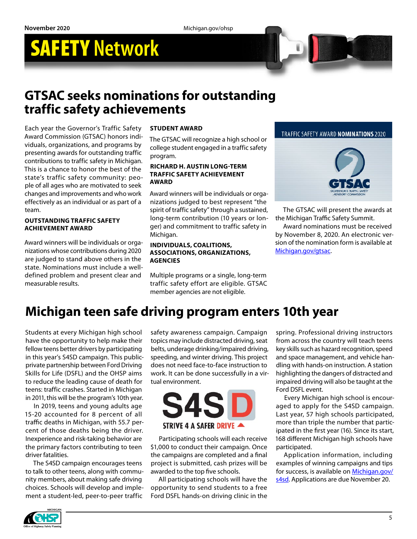# SAFETY **Network**



Each year the Governor's Traffic Safety Award Commission (GTSAC) honors individuals, organizations, and programs by presenting awards for outstanding traffic contributions to traffic safety in Michigan. This is a chance to honor the best of the state's traffic safety community: people of all ages who are motivated to seek changes and improvements and who work effectively as an individual or as part of a team.

#### **OUTSTANDING TRAFFIC SAFETY ACHIEVEMENT AWARD**

Award winners will be individuals or organizations whose contributions during 2020 are judged to stand above others in the state. Nominations must include a welldefined problem and present clear and measurable results.

#### **STUDENT AWARD**

The GTSAC will recognize a high school or college student engaged in a traffic safety program.

#### **RICHARD H. AUSTIN LONG-TERM TRAFFIC SAFETY ACHIEVEMENT AWARD**

Award winners will be individuals or organizations judged to best represent "the spirit of traffic safety" through a sustained, long-term contribution (10 years or longer) and commitment to traffic safety in Michigan.

#### **INDIVIDUALS, COALITIONS, ASSOCIATIONS, ORGANIZATIONS, AGENCIES**

Multiple programs or a single, long-term traffic safety effort are eligible. GTSAC member agencies are not eligible.

#### TRAFFIC SAFETY AWARD NOMINATIONS 2020



The GTSAC will present the awards at the Michigan Traffic Safety Summit.

Award nominations must be received by November 8, 2020. An electronic version of the nomination form is available at [Michigan.gov/gtsac](http://www.michigan.gov/gtsac).

## **Michigan teen safe driving program enters 10th year**

Students at every Michigan high school have the opportunity to help make their fellow teens better drivers by participating in this year's S4SD campaign. This publicprivate partnership between Ford Driving Skills for Life (DSFL) and the OHSP aims to reduce the leading cause of death for teens: traffic crashes. Started in Michigan in 2011, this will be the program's 10th year.

In 2019, teens and young adults age 15-20 accounted for 8 percent of all traffic deaths in Michigan, with 55.7 percent of those deaths being the driver. Inexperience and risk-taking behavior are the primary factors contributing to teen driver fatalities.

The S4SD campaign encourages teens to talk to other teens, along with community members, about making safe driving choices. Schools will develop and implement a student-led, peer-to-peer traffic

safety awareness campaign. Campaign topics may include distracted driving, seat belts, underage drinking/impaired driving, speeding, and winter driving. This project does not need face-to-face instruction to work. It can be done successfully in a virtual environment.



Participating schools will each receive \$1,000 to conduct their campaign. Once the campaigns are completed and a final project is submitted, cash prizes will be awarded to the top five schools.

All participating schools will have the opportunity to send students to a free Ford DSFL hands-on driving clinic in the spring. Professional driving instructors from across the country will teach teens key skills such as hazard recognition, speed and space management, and vehicle handling with hands-on instruction. A station highlighting the dangers of distracted and impaired driving will also be taught at the Ford DSFL event.

Every Michigan high school is encouraged to apply for the S4SD campaign. Last year, 57 high schools participated, more than triple the number that participated in the first year (16). Since its start, 168 different Michigan high schools have participated.

Application information, including examples of winning campaigns and tips for success, is available on [Michigan.gov/](http://www.michigan.gov/s4sd) [s4sd.](http://www.michigan.gov/s4sd) Applications are due November 20.

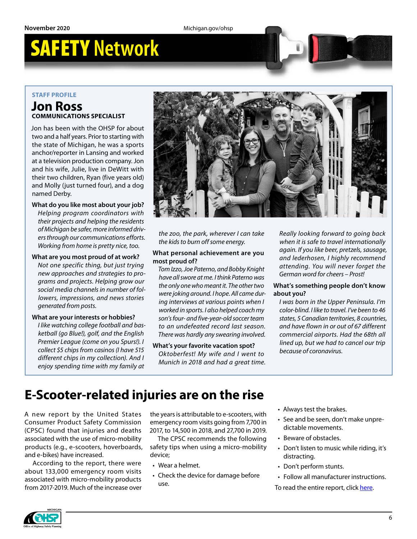# SAFETY **Network**

### **STAFF PROFILE**

### **Jon Ross COMMUNICATIONS SPECIALIST**

Jon has been with the OHSP for about two and a half years. Prior to starting with the state of Michigan, he was a sports anchor/reporter in Lansing and worked at a television production company. Jon and his wife, Julie, live in DeWitt with their two children, Ryan (five years old) and Molly (just turned four), and a dog named Derby.

### **What do you like most about your job?** *Helping program coordinators with*

*their projects and helping the residents of Michigan be safer, more informed drivers through our communications efforts. Working from home is pretty nice, too.*

### **What are you most proud of at work?**

*Not one specific thing, but just trying new approaches and strategies to programs and projects. Helping grow our social media channels in number of followers, impressions, and news stories generated from posts.* 

#### **What are your interests or hobbies?**

*I like watching college football and basketball (go Blue!), golf, and the English Premier League (come on you Spurs!). I collect \$5 chips from casinos (I have 515 different chips in my collection). And I enjoy spending time with my family at* 



*the zoo, the park, wherever I can take the kids to burn off some energy.* 

#### **What personal achievement are you most proud of?**

*Tom Izzo, Joe Paterno, and Bobby Knight have all swore at me. I think Paterno was the only one who meant it. The other two were joking around. I hope. All came during interviews at various points when I worked in sports. I also helped coach my son's four- and five-year-old soccer team to an undefeated record last season. There was hardly any swearing involved.* 

#### **What's your favorite vacation spot?**  *Oktoberfest! My wife and I went to*

*Munich in 2018 and had a great time.* 

*Really looking forward to going back when it is safe to travel internationally again. If you like beer, pretzels, sausage, and lederhosen, I highly recommend attending. You will never forget the German word for cheers – Prost!*

#### **What's something people don't know about you?**

*I was born in the Upper Peninsula. I'm color-blind. I like to travel. I've been to 46 states, 5 Canadian territories, 8 countries, and have flown in or out of 67 different commercial airports. Had the 68th all lined up, but we had to cancel our trip because of coronavirus.*

## **E-Scooter-related injuries are on the rise**

A new report by the United States Consumer Product Safety Commission (CPSC) found that injuries and deaths associated with the use of micro-mobility products (e.g., e-scooters, hoverboards, and e-bikes) have increased.

According to the report, there were about 133,000 emergency room visits associated with micro-mobility products from 2017-2019. Much of the increase over the years is attributable to e-scooters, with emergency room visits going from 7,700 in 2017, to 14,500 in 2018, and 27,700 in 2019.

The CPSC recommends the following safety tips when using a micro-mobility device;

- Wear a helmet.
- Check the device for damage before use.
- Always test the brakes.
- See and be seen, don't make unpredictable movements.
- Beware of obstacles.
- Don't listen to music while riding, it's distracting.
- Don't perform stunts.
- Follow all manufacturer instructions.

To read the entire report, click [here](https://www.cpsc.gov/Newsroom/News-Releases/2020/E-Scooter-Related-Injuries-Are-on-the-Rise-CPSC-Releases-New-Study-and-Public-Service-Announcement).